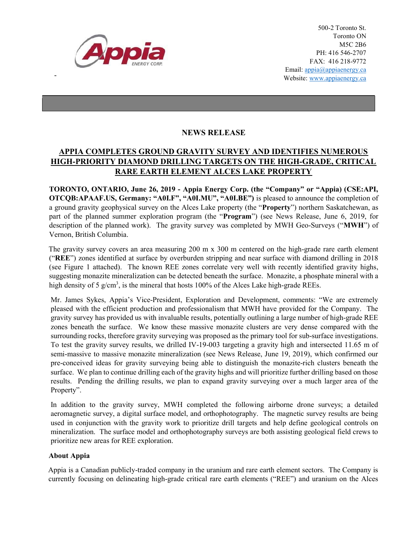

-

500-2 Toronto St. Toronto ON M5C 2B6 PH: 416 546-2707 FAX: 416 218-9772 Email: appia@appiaenergy.ca Website: www.appiaenergy.ca

## NEWS RELEASE

## APPIA COMPLETES GROUND GRAVITY SURVEY AND IDENTIFIES NUMEROUS HIGH-PRIORITY DIAMOND DRILLING TARGETS ON THE HIGH-GRADE, CRITICAL RARE EARTH ELEMENT ALCES LAKE PROPERTY

TORONTO, ONTARIO, June 26, 2019 - Appia Energy Corp. (the "Company" or "Appia) (CSE:API, OTCQB:APAAF.US, Germany: "A0I.F", "A0I.MU", "A0I.BE") is pleased to announce the completion of a ground gravity geophysical survey on the Alces Lake property (the "Property") northern Saskatchewan, as part of the planned summer exploration program (the "Program") (see News Release, June 6, 2019, for description of the planned work). The gravity survey was completed by MWH Geo-Surveys ("MWH") of Vernon, British Columbia.

The gravity survey covers an area measuring 200 m x 300 m centered on the high-grade rare earth element ("REE") zones identified at surface by overburden stripping and near surface with diamond drilling in 2018 (see Figure 1 attached). The known REE zones correlate very well with recently identified gravity highs, suggesting monazite mineralization can be detected beneath the surface. Monazite, a phosphate mineral with a high density of 5 g/cm<sup>3</sup>, is the mineral that hosts 100% of the Alces Lake high-grade REEs.

Mr. James Sykes, Appia's Vice-President, Exploration and Development, comments: "We are extremely pleased with the efficient production and professionalism that MWH have provided for the Company. The gravity survey has provided us with invaluable results, potentially outlining a large number of high-grade REE zones beneath the surface. We know these massive monazite clusters are very dense compared with the surrounding rocks, therefore gravity surveying was proposed as the primary tool for sub-surface investigations. To test the gravity survey results, we drilled IV-19-003 targeting a gravity high and intersected 11.65 m of semi-massive to massive monazite mineralization (see News Release, June 19, 2019), which confirmed our pre-conceived ideas for gravity surveying being able to distinguish the monazite-rich clusters beneath the surface. We plan to continue drilling each of the gravity highs and will prioritize further drilling based on those results. Pending the drilling results, we plan to expand gravity surveying over a much larger area of the Property".

In addition to the gravity survey, MWH completed the following airborne drone surveys; a detailed aeromagnetic survey, a digital surface model, and orthophotography. The magnetic survey results are being used in conjunction with the gravity work to prioritize drill targets and help define geological controls on mineralization. The surface model and orthophotography surveys are both assisting geological field crews to prioritize new areas for REE exploration.

## About Appia

Appia is a Canadian publicly-traded company in the uranium and rare earth element sectors. The Company is currently focusing on delineating high-grade critical rare earth elements ("REE") and uranium on the Alces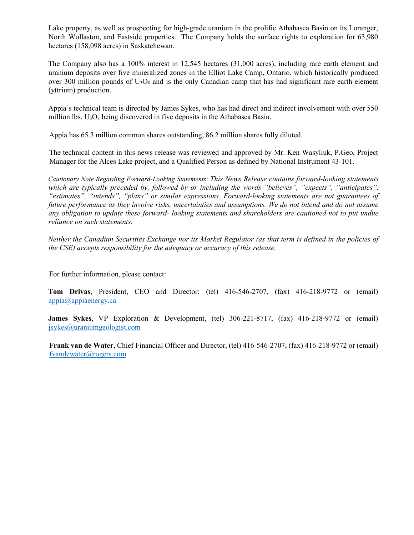Lake property, as well as prospecting for high-grade uranium in the prolific Athabasca Basin on its Loranger, North Wollaston, and Eastside properties. The Company holds the surface rights to exploration for 63,980 hectares (158,098 acres) in Saskatchewan.

The Company also has a 100% interest in 12,545 hectares (31,000 acres), including rare earth element and uranium deposits over five mineralized zones in the Elliot Lake Camp, Ontario, which historically produced over 300 million pounds of  $U_3O_8$  and is the only Canadian camp that has had significant rare earth element (yttrium) production.

Appia's technical team is directed by James Sykes, who has had direct and indirect involvement with over 550 million lbs.  $U_3O_8$  being discovered in five deposits in the Athabasca Basin.

Appia has 65.3 million common shares outstanding, 86.2 million shares fully diluted.

The technical content in this news release was reviewed and approved by Mr. Ken Wasyliuk, P.Geo, Project Manager for the Alces Lake project, and a Qualified Person as defined by National Instrument 43-101.

Cautionary Note Regarding Forward-Looking Statements: This News Release contains forward-looking statements which are typically preceded by, followed by or including the words "believes", "expects", "anticipates", "estimates", "intends", "plans" or similar expressions. Forward-looking statements are not guarantees of future performance as they involve risks, uncertainties and assumptions. We do not intend and do not assume any obligation to update these forward- looking statements and shareholders are cautioned not to put undue reliance on such statements.

Neither the Canadian Securities Exchange nor its Market Regulator (as that term is defined in the policies of the CSE) accepts responsibility for the adequacy or accuracy of this release.

For further information, please contact:

Tom Drivas, President, CEO and Director: (tel) 416-546-2707, (fax) 416-218-9772 or (email) appia@appiaenergy.ca

James Sykes, VP Exploration & Development, (tel) 306-221-8717, (fax) 416-218-9772 or (email) jsykes@uraniumgeologist.com

Frank van de Water, Chief Financial Officer and Director, (tel) 416-546-2707, (fax) 416-218-9772 or (email) fvandewater@rogers.com